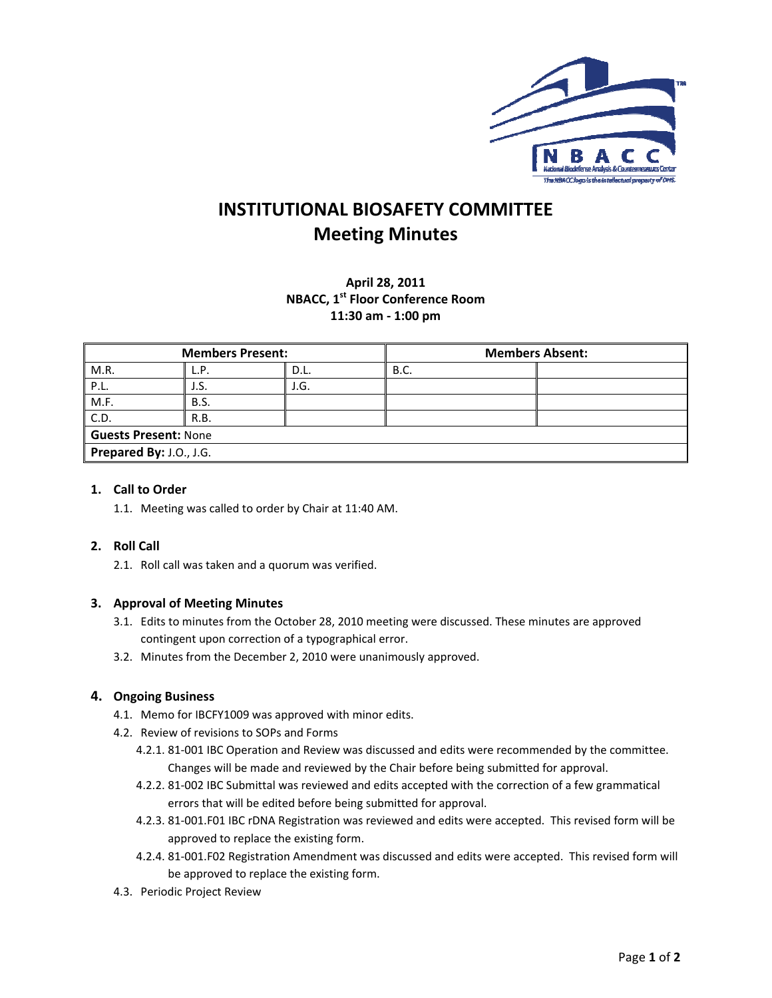

## **INSTITUTIONAL BIOSAFETY COMMITTEE Meeting Minutes**

### April 28, 2011 **NBACC, 1st Floor Conference Room** 11:30 am - 1:00 pm

| <b>Members Present:</b> |             |      | <b>Members Absent:</b> |  |  |  |
|-------------------------|-------------|------|------------------------|--|--|--|
| M.R.                    | L.P.        | D.L. | <b>B.C.</b>            |  |  |  |
| P.L.                    | J.S.        | J.G. |                        |  |  |  |
| M.F.                    | <b>B.S.</b> |      |                        |  |  |  |
| C.D.                    | R.B.        |      |                        |  |  |  |
| Guests Present: None    |             |      |                        |  |  |  |
| Prepared By: J.O., J.G. |             |      |                        |  |  |  |

### 1. Call to Order

1.1. Meeting was called to order by Chair at 11:40 AM.

### 2. Roll Call

2.1. Roll call was taken and a quorum was verified.

### 3. Approval of Meeting Minutes

- 3.1. Edits to minutes from the October 28, 2010 meeting were discussed. These minutes are approved contingent upon correction of a typographical error.
- 3.2. Minutes from the December 2, 2010 were unanimously approved.

### 4. Ongoing Business

- 4.1. Memo for IBCFY1009 was approved with minor edits.
- 4.2. Review of revisions to SOPs and Forms
	- 4.2.1. 81-001 IBC Operation and Review was discussed and edits were recommended by the committee. Changes will be made and reviewed by the Chair before being submitted for approval.
	- 4.2.2. 81-002 IBC Submittal was reviewed and edits accepted with the correction of a few grammatical errors that will be edited before being submitted for approval.
	- 4.2.3. 81-001.F01 IBC rDNA Registration was reviewed and edits were accepted. This revised form will be approved to replace the existing form.
	- 4.2.4. 81-001.F02 Registration Amendment was discussed and edits were accepted. This revised form will be approved to replace the existing form.
- 4.3. Periodic Project Review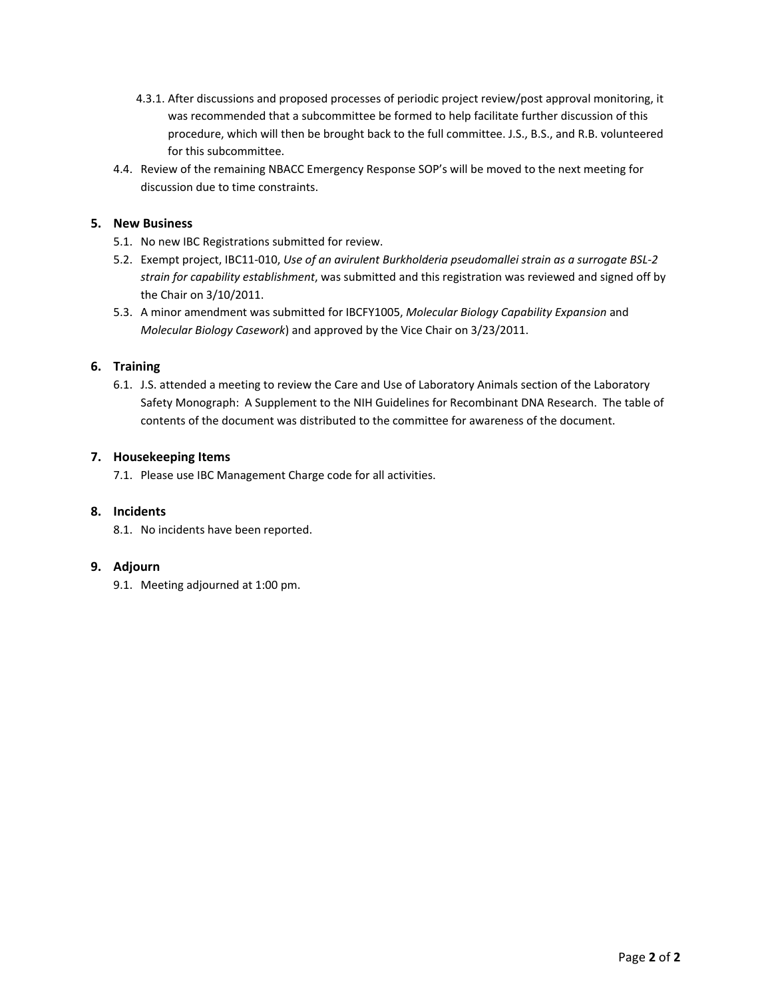- 4.3.1. After discussions and proposed processes of periodic project review/post approval monitoring, it was recommended that a subcommittee be formed to help facilitate further discussion of this procedure, which will then be brought back to the full committee. J.S., B.S., and R.B. volunteered for this subcommittee.
- 4.4. Review of the remaining NBACC Emergency Response SOP's will be moved to the next meeting for discussion due to time constraints.

### **5. New Business**

- 5.1. No new IBC Registrations submitted for review.
- 5.2. Exempt project, IBC11‐010, *Use of an avirulent Burkholderia pseudomallei strain as a surrogate BSL‐2 strain for capability establishment*, was submitted and this registration was reviewed and signed off by the Chair on 3/10/2011.
- 5.3. A minor amendment was submitted for IBCFY1005, *Molecular Biology Capability Expansion* and *Molecular Biology Casework*) and approved by the Vice Chair on 3/23/2011.

### **6. Training**

6.1. J.S. attended a meeting to review the Care and Use of Laboratory Animals section of the Laboratory Safety Monograph: A Supplement to the NIH Guidelines for Recombinant DNA Research. The table of contents of the document was distributed to the committee for awareness of the document.

### **7. Housekeeping Items**

7.1. Please use IBC Management Charge code for all activities.

### **8. Incidents**

8.1. No incidents have been reported.

### **9. Adjourn**

9.1. Meeting adjourned at 1:00 pm.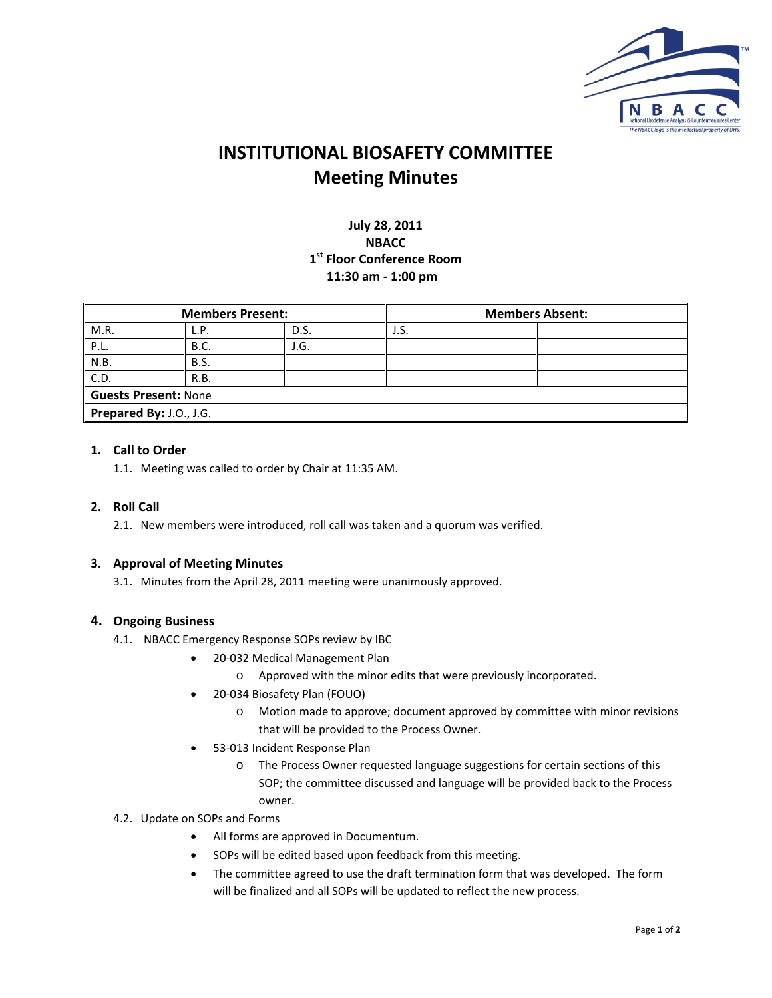

# **INSTITUTIONAL BIOSAFETY COMMITTEE Meeting Minutes**

### **July 28, 2011 NBACC 1st Floor Conference Room 11:30 am ‐ 1:00 pm**

| <b>Members Present:</b> |             |      | <b>Members Absent:</b> |  |  |  |  |
|-------------------------|-------------|------|------------------------|--|--|--|--|
| M.R.                    | L.P.        | D.S. | J.S.                   |  |  |  |  |
| P.L.                    | <b>B.C.</b> | J.G. |                        |  |  |  |  |
| N.B.                    | <b>B.S.</b> |      |                        |  |  |  |  |
| C.D.                    | R.B.        |      |                        |  |  |  |  |
| Guests Present: None    |             |      |                        |  |  |  |  |
| Prepared By: J.O., J.G. |             |      |                        |  |  |  |  |

### **1. Call to Order**

1.1. Meeting was called to order by Chair at 11:35 AM.

### **2. Roll Call**

2.1. New members were introduced, roll call was taken and a quorum was verified.

### **3. Approval of Meeting Minutes**

3.1. Minutes from the April 28, 2011 meeting were unanimously approved.

### **4. Ongoing Business**

- 4.1. NBACC Emergency Response SOPs review by IBC
	- 20-032 Medical Management Plan
		- o Approved with the minor edits that were previously incorporated.
	- 20-034 Biosafety Plan (FOUO)
		- o Motion made to approve; document approved by committee with minor revisions that will be provided to the Process Owner.
	- 53‐013 Incident Response Plan
		- o The Process Owner requested language suggestions for certain sections of this SOP; the committee discussed and language will be provided back to the Process owner.

### 4.2. Update on SOPs and Forms

- All forms are approved in Documentum.
- SOPs will be edited based upon feedback from this meeting.
- The committee agreed to use the draft termination form that was developed. The form will be finalized and all SOPs will be updated to reflect the new process.